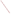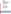

## **Environmental Technology Verification Program** Advanced Monitoring Systems Center

Test/QA Plan for Field Demonstration of Mercury Continuous Emission Monitors at the TSCA Incinerator

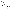### **Table of Contents**

| 1.0 |      |                                                                      |    |
|-----|------|----------------------------------------------------------------------|----|
|     | 1.1  |                                                                      |    |
|     | 1.2  |                                                                      |    |
|     | 1.3  |                                                                      |    |
|     | 1.4  |                                                                      |    |
|     |      | 1.4.1                                                                |    |
|     |      | 1.4.2                                                                |    |
|     |      | 1.4.3                                                                |    |
| 2.0 |      |                                                                      |    |
|     | 2.1  |                                                                      |    |
|     |      | 2.1.1                                                                |    |
|     |      | 2.1.2                                                                |    |
|     |      | 213                                                                  |    |
|     | 2.2  |                                                                      |    |
|     |      |                                                                      |    |
|     |      |                                                                      |    |
|     | 3.1  |                                                                      |    |
|     | 3.2  |                                                                      |    |
|     | 3.3  |                                                                      |    |
|     | 3.4  |                                                                      |    |
|     | 3.5  |                                                                      |    |
|     | 3.6  |                                                                      |    |
|     | 3.7  |                                                                      |    |
| 4.0 |      |                                                                      |    |
|     | 4.1  |                                                                      |    |
|     | 4.2  |                                                                      |    |
|     | 4.3  |                                                                      |    |
|     | 4.4  |                                                                      |    |
|     | 4.5  |                                                                      |    |
|     | 4.6  |                                                                      |    |
|     | 4.7  |                                                                      | 42 |
|     | 4.8  |                                                                      |    |
|     | 4.9  |                                                                      | 43 |
|     | 4.10 |                                                                      |    |
|     |      |                                                                      |    |
| 5.0 |      |                                                                      |    |
|     | 5.1  |                                                                      |    |
|     | 5.2  |                                                                      |    |
|     | 5.3  | Mercury Injection for Adjusting Mercury Levels in Waste Feeds        | 46 |
|     | 5.4  | Mercury Spiking Standard for Reference Method Performance Evaluation | 46 |
|     | 5.5  |                                                                      |    |
|     | 5.6  |                                                                      |    |
|     | 5.7  |                                                                      |    |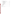| 6.0 |     |       |  |  |
|-----|-----|-------|--|--|
|     | 6.1 |       |  |  |
|     |     | 6.1.1 |  |  |
|     |     | 612   |  |  |
|     |     | 6 1 3 |  |  |
|     | 6.2 |       |  |  |
|     |     | 6.2.1 |  |  |
|     |     | 6.2.2 |  |  |
|     |     | 6.2.3 |  |  |
|     |     | 6.2.4 |  |  |
|     |     | 6.2.5 |  |  |
|     |     |       |  |  |
| 7.0 |     |       |  |  |
|     | 71  |       |  |  |
|     | 7.2 |       |  |  |
|     | 7.3 |       |  |  |
|     |     |       |  |  |
| 8.0 |     |       |  |  |
|     |     |       |  |  |
|     |     |       |  |  |
|     |     |       |  |  |
| 58  |     |       |  |  |
|     |     |       |  |  |
|     |     |       |  |  |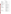### **DISTRIBUTION LIST**

| Mr. Philip C. Efthimion<br>Envimetrics<br>P.O. Box $6$<br>Pluckemin, NJ 07978                                                            | Ms. Karen Riggs<br><b>Battelle</b><br>505 King Avenue<br>Columbus, Ohio 43201-2693                                                                                                                   |
|------------------------------------------------------------------------------------------------------------------------------------------|------------------------------------------------------------------------------------------------------------------------------------------------------------------------------------------------------|
| Dr. Warren Corns<br>P.S. Analytical, Ltd.<br>Arthur House, Crayfields Industrial Estate<br>Main Road, Orpington, Kent BR5 3HP<br>England | Mr. Charles Lawrie<br><b>Battelle</b><br>505 King Avenue<br>Columbus, Ohio 43201-2693                                                                                                                |
| Dr. Koji Tanida<br>Director, Tech Center<br>Nippon Instruments Corp.<br>14-8, Akaoji, Takatsuki, Osaka, 569-1146,<br>Japan               | Ms. Elizabeth A. Betz<br>U.S. Environmental Protection Agency<br>National Exposure Research Laboratory<br>$MD-44$<br>Research Triangle Park, NC 27711                                                |
| Carl Kamme<br><b>OPSIS AB</b><br>P.O. 244<br>SE-244 02 Furulund<br>Sweden                                                                | Mr. Robert Fuerst<br>U.S. Environmental Protection Agency<br>National Exposure Research Laboratory<br>$MD-46$<br>Research Triangle Park, NC 27711                                                    |
| <b>Bob Ballantyne</b><br>Genesis Laboratory Systems, Inc.<br>1005 North 12th Street<br>Grand Junction, CO 81501                          | Ms. Elizabeth Hunike<br><b>Quality Assurance Specialist</b><br>U.S. Environmental Protection Agency<br>National Exposure Research Laboratory<br>ERC Annex, MD-46<br>Research Triangle Park, NC 27711 |
|                                                                                                                                          | Mr. Jim Dunn<br><b>Shaw Environmental and Infrastructure</b><br>PO Box 4699<br>Oak Ridge, TN 37831-7345                                                                                              |
| Dr. Thomas Kelly<br><b>Battelle</b><br>505 King Avenue<br>Columbus, Ohio 43201-2693                                                      | Mr. Marshall Allen<br>Hemispheric Center for Environmental<br>Technology<br>Florida International University<br>10555 West Flagler Street, EAS-2100<br>Miami, Florida 33174                          |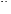Steve Priebe Idaho National Engineering and Environmental Laboratory PO Box 1625 Idaho Falls, ID 83415-3875

David Hutchins U.S. Department of Energy 55 Jefferson Circle Oak Ridge, TN 37831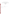### Approval of Joint DOE/ETV Test/QA plan for

### **Field Demonstration of Mercury Continuous Emission Monitors at the TSCA Incinerator**

**Revision 3**

June 2002

**Name\_\_\_\_\_\_\_\_\_\_\_\_\_\_\_\_\_\_\_\_\_\_Signature\_\_\_\_\_\_\_\_\_\_\_\_\_\_\_\_\_\_\_\_\_\_\_\_**

**Company\_\_\_\_\_\_\_\_\_\_\_\_\_\_\_\_\_\_\_\_\_\_\_\_\_\_\_\_\_\_\_\_\_**

**Date\_\_\_\_\_\_\_\_\_\_\_\_\_\_\_\_**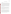### **1.0 PROJECT DESCRIPTION**

### **1.1 Introduction**

Most U.S. Department of Energy (DOE) sites rely on incineration and other forms of thermal treatment such as high temperature vitrification and lower temperature calcination to treat a wide variety of mixed wastes. Mercury and mercury containing compounds are often present in the mixed waste matrices stored in the DOE complex and mercury emissions from thermal treatment processes pose unique challenges for air pollution control technologies. Monitoring methods for mercury vapors are required to ensure that mercury is not being released, particularly from processes operating at elevated temperatures. Increasingly strict regulatory standards and growing public concerns are causing operators of mixed waste treatment facilities to control air emissions to unprecedented low levels, and to provide continuing assurance through monitoring that emissions controls are effective.

In September 1999, the U.S. Environmental Protection Agency (EPA) finalized the Hazardous Waste Combustor (HWC) Maximum Achievable Control Technology (MACT) Rule. The MACT Rule will limit heavy metal releases in stack emissions from hazardous waste combustors. Mercury is one of the contaminants of concern under the new MACT standards. The emission limits are being lowered and the MACT Rule includes provisions for the use of continuous emission monitors (CEMs).

While the use of continuous emissions monitors will not directly improve pollutant emission control, it will satisfy regulatory requirements, verify emission compliance, provide data to optimize emissions control, provide evidence that demonstrates the degree of emission controls achieved, and increase public confidence in the safety and technical credibility of the incineration process. In some cases, the implementation of a suitable CEM will enable the operator of the incinerator to operate closer to the emission standard than they could otherwise with feed rate control. This is an incentive for the operator to employ CEM technology as a more verifiable means of monitoring compliance with the regulation.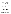The Toxic Substances Control Act (TSCA) Incinerator (TSCAI) at the East Tennessee Technology Park (ETTP) in Oak Ridge, Tennessee provides a unique venue for mercury CEM performance testing. The TSCAI holds federal and state permits and agreements to incinerate mixed waste, which consists of low-level radioactive and Resource Conservation and Recovery Act (RCRA) hazardous (mixed) wastes contaminated with polychlorinated biphenyls (PCBs). It is the only operational incinerator in the United States that can process PCB containing hazardous and radioactive waste.

The TSCAI has encountered considerable public scrutiny in recent years about the nature of the materials being handled at the facility and potential impacts of incinerator emissions on local public health. One of the primary concerns expressed by public policy makers was the absence of continuous emission monitoring systems for measuring hazardous metals, semi-volatile organic compounds, and other toxic pollutants. The TSCAI facility currently monitors  $O<sub>2</sub>$ , CO,  $CO<sub>2</sub>$ , and radionuclide emissions as required by permit. A developmental system for monitoring metals emissions is also in use. Although evidence has showed that the incinerator performs well within its permitted operating limits, the concerned parties have pushed for more use of advanced monitoring technologies. The Governor of Tennessee has recommended that the state regulatory agency include permit provisions requiring the facility to use the best available monitoring technologies.

In order to stay on the forefront of emissions monitoring technology, the TSCAI staff has been closely following the development and field testing of advanced CEM technologies. DOE has designated the TSCAI as a primary testing unit for advanced monitoring technologies. A field study evaluating the performance of three candidate multi-metals monitoring techniques was completed at the TSCAI in 1997. The results showed that none of the CEMs produced data of sufficient quality for compliance monitoring at a level that would be acceptable to EPA. In FY98-99, a two-month evaluation of a mercury CEM was performed at the TSCAI.<sup>1</sup> This effort demonstrated that the incinerator was a useful test site in determining the feasibility of using a CEM to measure total mercury in a saturated flue gas. Three commercial particulate matter  $(PM)$  CEMs were field tested in 1999-2000.<sup>2</sup> As a result of this evaluation, a recommendation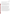was made to deploy a beta gauge type monitor for measuring PM emissions from the TSCAI. Given this background, a full-scale evaluation of mercury CEMs at the TSCAI will certainly provide valuable information to DOE, EPA and stakeholders.<sup>3</sup>

Functional and performance requirements for CEMs are driven primarily by EPA performance specifications, which generally include requirements for (a) "continuous" operation, (b) calibration requirements, (c) providing measurement results that compare within specified relative accuracy limits to applicable EPA-approved reference methods, and (d) downtime and maintenance limits. EPA has published draft Performance Specification 12 (PS-12) as a guide for assessing acceptability of mercury CEMs upon installation and use.4

EPA's Environmental Technology Verification (ETV) program recently completed a pilot-scale Phase I verification test of continuous emission monitors for mercury at the Rotary Kiln Incinerator Simulator (RKIS) within EPA's Incineration Research Laboratory in Research Triangle Park (RTP), North Carolina.<sup>5</sup> The objective of the ETV test was to quantify the performance of commercial-ready mercury CEMs, by comparison to reference mercury measurements, and by challenges with mercury standard gases and interferences, under controlled conditions in a pilot-scale combustion facility. Four commercial mercury CEMs were tested, and ETV verification reports on those CEMs are publicly available at http://www.epa.gov/etv/verifrpt.htm#07). The ETV Phase 1 verification test provides a basis for establishing the testing methodology and selection of CEMs for field performance testing at the TSCAI. Furthermore, the testing to be done under this test/QA plan will serve as part of Phase 2 of mercury CEM testing in ETV. The role of ETV in this test will include strengthening contacts with CEM vendors, assisting in study planning, and providing additional quality assurance activities. CEM vendors who participate in testing at the TSCAI can receive ETV verification of their CEM by authorizing an ETV Vendor's Agreement prior to test initiation.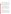### **1.2 Test Objective**

The primary objective of this field evaluation is to support EPA, DOE, industry, CEM vendors, and the public in gathering information that will be useful in assessing the performance of mercury CEMs as the debate continues on the regulatory implementation of mercury CEMs for compliance monitoring. To that end, the test will be conducted in a manner that satisfies the requirements of the ETV program, so that verification reports on the test CEMs may be prepared as part of the Phase 2 testing within ETV. A secondary objective is to compare the performance of mercury CEMs in a full-scale incinerator environment so that the results can be used to select CEMs for deployment at DOE facilities. (The ETV program also plans to conduct another performance verification of mercury CEMs at a coal-fired power plant).

The mercury CEMs will be challenged by stack gases generated from the thermal treatment of a variety of actual wastes in the TSCAI. Depending on the levels of mercury that are present in the waste, mercury may be injected into the incinerator combustion chambers to adjust the concentration level in the stack for testing purposes. CEM responses will be compared to reference mercury measurements of total, oxidized, and elemental mercury. Mercury standard gases will be used to challenge the CEMs for calibration purposes, and the stability of the standards themselves will be evaluated. The project will identify issues associated with moving mercury CEMs out of the pilot-scale test arena and into an operating facility environment.

### **1.3 Scope of Work**

The overall objective of the demonstration is to provide quantitative verification of the performance of the mercury CEMs in a field installation setting while monitoring emissions from the TSCAI that were generated from the treatment of actual wastes. Since mercury CEMs are a relatively new group of instruments, performance expectations and procedures to assess their performance are not fully established. EPA has published draft PS-12 as a proposed description of how to assess the acceptability of mercury CEMs.<sup>2</sup> However, draft PS-12 is patterned after performance specifications for CEMs for other pollutants, such as  $SO<sub>2</sub>$  and nitrogen oxides (e.g.,  $NO<sub>2</sub>$ ), and as a result includes requirements which may be inappropriate or currently not feasible.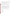As a result of such factors, and because PS-12 is a draft document subject to revision, it is not necessary to adopt PS-12 procedures as the basis for this demonstration. Instead, the final set of performance parameters that will be addressed by this test rely heavily on key monitoring characteristics identified in the ETV program verification test<sup>1</sup> and meet the spirit of quantitative and qualitative performance requirements raised in PS-12.

The basis for establishing the quantitative performance of the tested technologies will be a standard method of measurement, consisting of the Ontario Hydro (OH) method,<sup>6</sup> currently recognized as the most suitable procedure to determine total, oxidized, and elemental mercury in source emissions.

The TSCAI employs a wet off-gas cleaning system for scrubbing particulate matter and acid gases from the combustion off-gas. The gas cleaning system should remove oxidized mercury and particulate-bound mercury at a fairly high efficiency. Elemental mercury, on the other hand, is expected to pass through the off-gas system virtually untouched. No attempt has ever been made, however, to quantify the presence of oxidized mercury in the TSCAI flue gas. For this reason, preliminary reference method testing is planned prior to installation of the mercury CEMs to determine the extent of mercury speciation in the flue gas.

The mercury CEM field demonstration will be conducted in accordance with the TSCAI burn schedule. The mercury CEMs performance parameters that will be addressed by this demonstration include:

- C Zero drift
- C Calibration drift
- C Relative accuracy
- C Correlation with reference method
- C Precision
- C Sampling system bias
- C Calibration error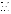### C Response time

Calibration and zero drift, response time, sampling system bias, and calibration error will be assessed for elemental mercury only, using commercial compressed gas standards of elemental mercury. Relative accuracy, correlation with the reference method, and precision (i.e., repeatability at stable test conditions) will be assessed for total, oxidized, and elemental mercury in the stack gas emissions. Interference response will not be assessed in the TSCAI field test. The extensive flue gas scrubbing at the TSCAI makes spiking of added interferants into the flue gas impractical. The alternative approach of using calibration gases introduced at the analyzer to simulate flue gas interferants, as described by PS-12,<sup>4</sup> was also discouraged in discussions with EPA and ETV staff as poorly representing actual flue gas conditions. Although the field demonstration is not expected to go beyond three months of actual monitoring of stack emissions, the reliability, availability, and maintainability of the CEMs over the course of the field test will be documented and assessed. Vendor representatives are expected to be present during installation of the CEMs to oversee installation and train technical support staff in the routine operation and maintenance of the CEMs. The vendors will also be expected to be present during initial and final weeks of CEM monitoring performance testing to ensure optimal operation of the CEMs for comparison with reference samples and calibration gas standards. Otherwise, routine daily operation and maintenance of the CEMs, as well as data logging, will be administered by a dedicated on-site technician.

### **1.4 Organization, Responsibilities, and Communication**

This section provides a detailed outline for the organization and responsibilities of all participants in the mercury CEMs field demonstration. Section 1.4.1 presents the overall project organization. Section 1.4.2 details responsibilities of individual team members. Section 1.4.3 discusses the communication mechanism to be employed during the project execution.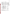

Fig Reviewing the di*re*ation chart for meneure of EM demonstration project at TSCAI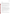### *1.4.2.3 Shaw E&I*

### (a) Project Lead

Shaw E&I, who operates and maintains the TSCAI under subcontract to BJC, has the overall responsibility for project coordination, CEM installation and decommissioning, reference method testing and day-to-day operation and maintenance of the mercury CEMs. Shaw E&I has identified the Principal Investigator, Mr. Jim Dunn, who is responsible for ensuring that the quality, schedule, and budget goals established for this field test are met. More specifically, Mr. Dunn will

- C Coordinate all test participants including DOE, TSCAI facility, mercury CEM vendors, FIU-HCET and subcontractors, and serve as the primary point of contact for all parties involved;
- C Define scope of the field evaluation and establish budget for the test;
- C Share responsibility with FIU-HCET for preparation of the draft test/QA plan and data report;
- C Provide Battelle with hard and electronic copies of the data report and copies of all raw reference method and facility operation data;
- C Assemble trained technical staff to conduct reference method sampling for the verification;
- C Provide input on facility operating conditions and procedures for the field evaluation test;
- C Assure that the test/QA plan is being followed during the field evaluation more specifically, assure that test procedures and data acquisition and analysis are conducted according to this test/QA plan, and work directly with the field team to ensure that sampling, sample analysis, and data reduction are performed accurately, efficiently, and as scheduled;
- C Respond to any issues raised in assessment reports and audits, including instituting corrective actions as necessary;
- C Revise the draft test/QA plan and data report in response to reviewers' comments; and
- C Be responsible for distribution of final test/QA plan and data report.

### (b) TSCAI Operation

Under subcontract to BJC, Shaw E&I is responsible for managing and operating the TSCAI facility. They are also responsible for planning the tests, carrying out the scope of testing as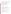defined in the approved test/QA plan, evaluating test data and reporting test data. Shaw E&I will be responsible for the preparation, operation, and management of the TSCAI facility in a manner that will accommodate all data collection needs of the project and for specific measurements during the tests. The TSCAI Facility Manager, Mr. Fidel Perez, has final authority on all process operations at the TSCAI facility, including

- C Assembling trained technical staff to operate the facility;
- C Ensuring the facility is fully functional during the time of the field evaluation;
- C Overseeing technical staff in facility operation during testing;
- C Ensuring that operating conditions and procedures for the facility are recorded during the test; and
- C Reviewing and approving all data and records related to facility operation.

### *1.4.2.4 Field Sampling Team*

### (a) Field Manager

The Field Manager, Mr. Randy Moore, will have the following responsibilities:

- C Assume overall on-site responsibility for field sampling and analysis activities, including set up, sampling, sample recovery, sample custody, data reduction, and data validation;
- C Provide a TSCAI trained technician to support operation, maintenance and repair of the mercury CEMs throughout the field test;
- C Coordinate the set up, operation, and breakdown of the OH sampling trains at each sampling location;
- C Verify that each location's OH sampling train has been properly prepared by the sample recovery team;
- C Monitor the overall progress of the on-site sampling and analytical activities and maintaining a daily written log of all events which occurred on-site;
- C Resolve problems and implement any plan deviations that are approved;
- C Review daily field data sheets;
- C Discuss any information that may invalidate results and require retesting with the Principal Investigator; and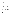C Prepare daily summaries of all site activities.

### (b) Field Safety Officer

The Field Safety Officer, Ms. Missie Smith, is responsible for:

- C Providing Health and Safety training to test participants; and
- C Performing site safety inspections and daily safety briefings with the field team.

### (c) Field Technicians

The Field Technicians are responsible for:

- C Coordinating reference method sampling with monitor operation;
- C Sending run sheets for data reduction at the end of each run to the Field Manager;
- C Informing the Field Manager of any sampling problems which would require suspension of other simultaneous sampling activities;
- C Informing the Field Manager of any port-change or leak-check problems;
- C Informing the Field Manager of any deviations from the test/QA plan prior to implementing the deviations;
- C Reviewing the run results to check for problems which would require a retest; and
- C Maintaining an individual daily log of all sampling activities and events.

### (d) Sample Custodian

The Sample Custodian will have overall responsibility for OH reference method samples including recovery, storage, custody, and shipment to Severn Trent Laboratories. He/she is responsible for:

- C The set up of the sample recovery area, including recovery equipment, reagents, dust free sample storage area, and a pre-cleaned glassware inventory;
- C Procuring, cleaning, and labeling sample containers in accordance with the requirements of the OH method;
- C Performing daily processing of all required information on sample tracking, custody, and lab analysis request forms and maintaining a central file of completed forms and custody information;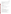- C Performing sample recovery and train preparation in accordance with sampling procedures;
- C Ensuring that all samples are stored in accordance with storage and any holding time requirements until ready for shipping;
- C Immediately informing the Field Manager and Field QA/QC Manager of any problems which may invalidate a sample;
- C Accepting custody of all samples at the completion of the program for delivery to the laboratory; and
- C Maintaining a detailed log book of all sample recovery and custody activities.

### (e) Field QA/QC Manager

Specific responsibilities of the QA Manager include:

- C Reviewing test/QA plan;
- C Preparing internal QC procedures to establish the performance of the measurement systems;
- C Performing on-site audits on operating and analytical system; and
- C Reporting all QA/QC activities and data to the Field Manager.

### *1.4.2.5 FIU-HCET*

FIU-HCET is responsible for:

- C Providing a portion of the financing of the program;
- C Contributing to the development of the test/QA plan;
- C Procurement of mercury standards, analysis of OH reference method samples, data acquisition system procurement, and other miscellaneous support materials;
- C Conducting a technical systems audit at least once during the field demonstration;
- C Performing an audit of at least 10% of the evaluation data;
- C Preparing and distributing an assessment report for each audit;
- C Verifying implementation of any necessary corrective actions; and
- C Sharing responsibility with the Principal Investigator for preparation of the data report.

Points of contact at FIU-HCET are Mr. Marshall Allen and Mr. Jim Ealy.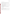### *1.4.2.6 Severn-Trent Laboratories*

The analytical laboratory for samples from the Ontario Hydro method will be Severn-Trent Labs (STL), of Knoxville, Tennessee. STL's activities will be led by Mr. Billy Anderson. The responsibilities of the analytical laboratory are as follows:

- C Establish a system to maintain chain-of-custody and accurate sample identification for OH samples;
- C Perform sample analyses according to OH method procedures, as modified in STL's standard operating procedures and related documentation;
- C Perform required laboratory QA procedures, as established prior to the test in STL's standard operating procedures and related documentation;
- C Report analytical results in an organized format, with sufficient supporting documentation to allow review of data quality;
- C Cooperate with Battelle and EPA in a brief on-site audit of procedures at STL;
- C Review portions of the test reports, to assure the accuracy of descriptions of the laboratory procedures and results.

### *1.4.2.7 University of Tennessee*

Dr. Wayne Davis at the Department of Civil and Environmental Engineering at the University of Tennessee, Knoxville, Tennessee, will be responsible for:

- C Performing statistical calculations specified in this test/QA plan on data collected during the field test; and
- C Providing results of statistical calculations and associated discussions for the data report.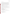### *1.4.2.8 EPA ETV Program*

The involvement of the EPA ETV program in this test will include Battelle, EPA's partner in the ETV Advanced Monitoring Systems (AMS) Center, as well as EPA staff. Battelle's involvement in this field evaluation will be primarily in an advisory role, based on experience gained in the ETV Phase 1 CEM tests, and in providing additional QA to meet ETV requirements. Dr. Thomas J. Kelly, the Verification Testing Leader in the AMS Center, will be the primary point of contact for ETV in this study. Battelle's responsibilities include

- C Assisting in securing the participation of CEM vendors, by offering ETV verification as an incentive to participate;
- C Providing input on mercury CEM technology for this field evaluation;
- C Providing input to the draft test/QA plan, and coordinating the review of the plan as required by ETV;
- C Providing information gathered in Phase I mercury CEM verification test, such as lessons learned and recommendations for improvement in test methodology;
- C Performing technical systems and performance evaluation audits as specified in this test/QA plan; and
- C Preparing an ETV verification report based on the data report, for each CEM covered by an ETV Vendor Agreement.

EPA involvement through the ETV program will include:

- C Reviewing the draft test/QA plan;
- C Reviewing the draft verification reports;
- C Approving the final verification reports and verification statements;
- C At EPA's discretion, performing an external technical systems audit during the field test.

### *1.4.2.9 Mercury CEM Vendors*

Mercury CEM vendors will be responsible for

- C Providing field-ready mercury CEMs for evaluation;
- C Reviewing the draft test/QA plan;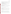- C Participating in required safety training at the test facility prior to installation of their CEM;
- C Providing data link to data logger for recording mercury CEM data;
- C Training a dedicated site technician in CEM operation and maintenance and documenting that training has been completed;
- C Providing field technician(s) to support CEM installation and ensure reliable CEM operation during the monitoring performance test weeks;
- C Validating CEM data collected during the monitoring performance test weeks; and
- C Reviewing the draft data report for their respective CEM.

Those CEM vendors who choose to undergo ETV verification based on the study data will have the following additional responsibilities:

- C Sign an ETV Vendor Agreement and pay a verification fee to formalize participation in the ETV program;
- C Review the draft verification report and verification statement for their CEM.

### *1.4.2.10 EPA Office of Research and Development*

Mr. Jeff Ryan of the EPA Office of Research and Development will provide the following technical assistance:

- C Suggest possible modifications to the OH method for handling mercury chemistry issues that arise in the presence of chlorine;
- C Loan a mercury analyzer to the project for performing audits of mercury calibration gases; and
- C Conducting calibration drift checks of the CEMs using mercuric chloride standards.

### 1.4.3 Communications

Any issues that will have a direct impact on the project quality, completeness of the data, or financial implications must be reviewed and approved by the Principal Investigator. Every effort should be made to resolve all issues prior to the field test and fully document the solutions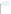in the approved test/QA plan. However, field test conditions may not always remain as planned and decisions are necessary to maintain progress in a timely and cost effective manner.

Routine telephone conference calls and emails will be the primary communication tools among the test participants. Monthly DOE progress reports will be issued internally through the existing reporting mechanism. The monthly reports will consist of progress, financial status, and discussion of issues raised during the test.

Communication within the field team will be facilitated by short distance wireless radios for onsite activities at the TSCAI. These will ensure that personnel assigned to various locations at the site can be in immediate contact with each other without using the plant communication system.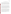### **2.0 TSCA INCINERATOR FACILITY**

The TSCAI facility is designed and permitted for receiving, sorting, storing, preparing, and thermally destroying low-level radioactive and RCRA mixed waste contaminated with PCBs. These wastes are treated in a rotary kiln incinerator with a secondary combustion chamber and off-gas treatment system for cleaning combustion effluent gases. The TSCAI facility includes various support buildings, an unloading and storage area, a tank farm, an incinerator area, concrete collection sumps, and carbon adsorbers. A schematic of the TSCAI facility is shown in Fig. 2.1.

In general, the TSCAI Facility treats a wide range of waste categories, including oils, solvents and chemicals, aqueous liquids, solids, and sludges. Solid and non-pumpable sludge materials are typically received and stored in metal containers and are repackaged into combustible containers prior to feeding. A hydraulic ram feeds containerized solids and sludges to the rotary kiln. Aqueous wastes are injected into the kiln through a lance. High heat-of-combustion liquids are burned in either the rotary kiln or a secondary combustion chamber with gas burners. Both solids and waste liquids are permitted for treatment in the primary combustion chamber, but only organic liquids may be treated in the secondary combustion chamber.

Ash residue from the wet ash removal system is collected and handled through hazardous and radioactive waste storage facilities. Selected residues are sent to a commercial landfill facility. Kiln off-gas flows to the secondary combustion chamber. The off-gas from the secondary combustion chamber then passes through a four-stage treatment system that includes a quench chamber and scrubber treatment system for cooling, removal of particulate matter and neutralization of acidic by-products. An induced-draft fan forces flue gases through the stack. Liquid wastes generated by the scrubber systems are treated by the Central Neutralization Facility (CNF), an adjacent on-site waste water treatment plant. Solid-type waste, such as scrubber sludge, is collected in drums for off-site disposal.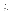# US EPA ARCHIVE DOCUMENT



Page 17 of 60 Rev. 3 June 19, 2002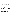### **2.1 Facility Description**

### 2.1.1 Incineration Process

The rotary kiln receives and thermally processes boxes of solid and non-pumpable sludge wastes fed by the ram feeder and liquid and aqueous wastes injected by a burner and lance, respectively, at the kiln faceplate. Additionally, the kiln receives natural gas fired by an auxiliary burner to maintain a minimum combustion temperature and ensure stable combustion of liquids. Steam is used to atomize wastes fed through the burners and controlled at a ratio to the waste pressure. The normal operating temperature inside the kiln is maintained at approximately 1600EF. Residue is discharged from the kiln, and hot gases pass through a mixing chamber to the secondary combustion chamber and on to the process gas cleaning system. An induced-draft fan maintains sub-atmospheric pressures in both the kiln and the solid feed system to minimize the release of vapors from the feed system and combustion gases from the kiln. The kiln shell is made of carbon steel with a refractory lining.

The second stage of the incineration process is the mixing chamber, which separates the primary combustion chamber (rotary kiln) and the secondary combustion chamber. The mixing chamber is a carbon steel chamber lined with refractory brick. The chamber collects the flue gases and ash discharged from the rotary kiln, reduces the gas velocity to allow particulates to drop out of the gas into the ash handling system, and passes the hot flue gases into the secondary combustion system. An ash handling system conveys ash and residue from a water-filled trough beneath the mixing chamber to the ash hopper for subsequent disposal. Water in the ash trough provides a seal against air leakage into the system. The ash water removal pump removes suspended ash and solids from the ash trough at the bottom of the mixing chamber and discharges to the purge water sumps.

The secondary combustion system receives hot process gases from the mixing chamber and secondary liquid wastes fired by a waste burner. Natural gas is fired by an auxiliary burner. The cross-sectional area of the entrance to the secondary combustion chamber is reduced to rapidly increase gas velocity and, in conjunction with the burners downstream, to provide turbulence and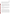mixing of the kiln gas. Also, while it normally accepts secondary liquid wastes pumped from the secondary liquid waste feed tank, the secondary combustion chamber can accept wastes pumped from the primary liquid waste feed tanks, from the fuel oil tank, or directly from a tanker. The normal operating temperature in the secondary combustion chamber is maintained above 2200EF. All three secondary combustion chamber sections are refractory lined.

A thermal relief vent at the outlet of the secondary combustion chamber can vent combustion gases to the atmosphere in the event of an induced-draft fan shutdown or an interruption of the water feed to the quench chamber in the off-gas cleaning system. This prevents damage to the scrubber system during an interruption of quenching and prevents backward flow from the incinerator during shutdown of the induced-draft fan. When the thermal relief vent is used, all waste material and fuel feeds to the incinerator are automatically discontinued except for the fuel to the secondary auxiliary burner.

After secondary combustion in the incineration process, the off-gases from the secondary combustion chamber pass through the refractory-lined duct into the off-gas cleaning system. This is a wet system that reduces both acidic gaseous and particulate emissions to the atmosphere to comply with TSCA and RCRA regulations and with state emission standards.

### 2.1.2 Off-Gas Cleaning System

The quench chamber receives and cools the hot flue gas from the secondary combustion chamber. The quench system is equipped with a refractory lining, a process water system, a sump, a recycle water system, and an emergency water backup system. The quench chamber normally receives the hot flue gas at about 2200EF, containing particulates, sulfur dioxide  $(SO<sub>2</sub>)$ , hydrofluoric acid (HF), and hydrochloric acid (HCl), and cools and saturates the flue gas to the adiabatic saturation temperature with a series of internal sprays of fresh and recirculated water. The water spray systems are the process water system and the recycle water system. Both water systems have spray nozzles with strainers on the supply lines to prevent line clogging. Excess water from the fresh process water spray header flows by gravity to the quench chamber recycle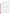tanks and continues to the recycle water system. Recirculating pumps recycle this water back to the quench chamber. The pH of the recycle water is controlled with 20% caustic solution from the caustic solution storage tank. The quench chamber has an acid-resistant refractory lining suitable to withstand the process gas temperature and composition and the process scrubbing water composition.

The saturated gas stream from the quench chamber flows through a fire-retardant fiberreinforced polyester (FRP) duct to the inlet of the venturi scrubber. All of the air pollution control devices downstream of the quench chamber, excepting the induced-draft fan, are manufactured of FRP materials.

The venturi scrubber receives the cooled and water-saturated flue gas, removes particulates of 1 µm and larger, and removes a portion of the HCl. The scrubber consists of converging and diverging cones with an automatic variable throat to maintain a pressure drop and an integral sump. The recirculating water system serving the quench chamber supplies the scrub solution through a nozzle upstream of the throat. The recycle water flows back to the quench sump. The pH of the recycle water is controlled by using 20% caustic solution from the caustic solution storage tank.

The mist eliminator between the venturi scrubber and the packed-bed scrubber removes the entrained water from the saturated flue gas and minimizes interference with the cross-flow liquid/gas flow in the packed-bed scrubber. The mist eliminator is preceded by a dispersion plate that distributes the flow more evenly. From the mist eliminator, effluents flow by gravity to the quench tank.

The packed-bed scrubber removes additional soluble and reactive acid gases such as HCl, HF, and  $SO<sub>2</sub>$ . The scrubber is a horizontal cross-flow scrubber, contains 3 ft of irrigated packing, and has an entrainment separator following the packed bed. Recirculated scrubber water irrigates the packing. The water recycle system serving the ionizing wet scrubber provides the recycle water. The pH of the recycle water is controlled with 20% caustic solution from the caustic solution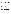storage tank. The packed-bed scrubber has an integral sump. Water flows from the sump to the ionizing wet scrubber sumps. Effluents from the packed-bed scrubber flow through an inlet transition section to the ionizing wet scrubber. The inlet transition provides a gradual transition from the sampling duct to the ionizing wet scrubber to minimize turbulence.

The ionizing wet scrubbers remove the fine particulates of less than  $1 \mu m$  from the flue gas stream with high efficiency. Key features of each of the two-stage, horizontal cross-flow scrubbers are (l) an ionizer module, (2) a packed-bed section for removing charged particles, (3) a recirculating water system, and (4) an integral sump.

From the flow control damper section at the outlet of the ionizing wet scrubber, the flue gas stream passes to the Hastelloy C22 induced-draft fan. The induced-draft fan pulls the combustion and flue gases through the incineration and process gas cleaning systems at subatmospheric pressure. Instrumentation and controls for the induced-draft fan measure gas inlet and outlet pressure, fan drive motor power, and vibration. Gas pressure and temperature in other parts of the system that would be affected by the loss of fan operation are also monitored. Loss of fan operation shuts off all waste feed streams and the auxiliary fuel to the rotary kiln. The induced-draft fan inlet damper varies stack gas velocity. The fan discharges the water-saturated flue gas to the stack. A short FRP duct section carries the gas stream from the fan outlet to the stack inlet.

The stack receives the water-saturated flue gas and vents it to the atmosphere. It is 100 ft high and 54 in. inside diameter, with a gas velocity of approximately 20 feet per second (fps). The stack is equipped with several sample ports for flue gas sampling, a continuous emission monitoring system for measuring carbon monoxide  $(CO)$ , carbon dioxide  $(CO<sub>2</sub>)$ , and oxygen  $(O<sub>2</sub>)$ , continuous sampling systems for radionuclides and metals, and access platforms. The combustion gas velocity is also monitored through the monitoring of the induced-draft fan current and pressure drop across the fan.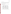### 2.1.3 Process Data Collection

The combustion process and off-gas cleaning systems are monitored by instrumentation for process control and data collection. Operational parameters are automatically monitored and logged by the incinerator Supervisory Control and Data Acquisition (SCADA) system.

### **2.2 General Facility Operating Conditions**

Typical TSCAI stack gas characteristics at the sampling locations under normal incinerator operations are summarized in Table 2.1.

| Parameter              | <b>Condition</b>  | Units                     |
|------------------------|-------------------|---------------------------|
| Temperature            | $175 - 185$       | $\circ$ F                 |
| <b>Static Pressure</b> | $-0.25$           | inches $H20$              |
| <b>Flow Rate</b>       | $8,000 - 9,000$   | dscf                      |
|                        | $17,000 - 19,000$ | acfm                      |
| Velocity               | $18 - 20$         | fps                       |
| Ο,                     | $9 - 11$          | $\frac{0}{0}$             |
| CO <sub>2</sub>        | $5 - 8$           | $\frac{0}{0}$             |
| CO                     | <10               | ppmv                      |
| Moisture               | $45 - 55$         | $\frac{0}{0}$             |
| PM Loading             | $0.002 - 0.030$   | $gr/dscf$ (a) 7% $O_2$    |
| (front-half)           |                   |                           |
|                        | $5 - 70$          | mg/dscm $\omega$ 7% $O_2$ |

**Table 2.1. TSCA Incinerator stack gas characteristics**

Waste feed and operating temperature constraints for the TSCAI are summarized in Table 2.2.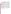|                               |              | Primary         | Secondary        |                  | <b>Bulk</b>      |                 |
|-------------------------------|--------------|-----------------|------------------|------------------|------------------|-----------------|
| Parameter                     | <b>Units</b> | organic         | organic          | <b>Aqueous</b>   | solids           | <b>Total</b>    |
| Feed rate min.                | lb/h         | 170             | 130              | $NA^a$           | <b>NA</b>        | <b>NA</b>       |
| Feed rate max.                | lb/h         | 826             | $\overline{630}$ | 380              | 650 <sup>b</sup> | NA              |
| Heat content min.             | Btu/lb       | 7000            | 10000            | $\overline{NA}$  | $\overline{NA}$  | $\overline{NA}$ |
| Btu feed rate max.            | Btu/h        | 8,800,000       | 8,800,000        | <b>NA</b>        | 8,900,000        | NA              |
| PCB feed rate max.            | 1b/h         | 450             | 450              | $\overline{450}$ | 300              | 450             |
| Viscosity max.                | cP           | 100             | 100              | <b>NA</b>        | <b>NA</b>        | <b>NA</b>       |
| Ash liquid total              | 1b/h         | <b>NA</b>       | NA               | NA               | NA               | 44              |
| Chlorine total                | lb/h         | <b>NA</b>       | NA               | <b>NA</b>        | <b>NA</b>        | 260             |
| Fluorine total                | lb/h         | NA              | <b>NA</b>        | <b>NA</b>        | <b>NA</b>        | 20              |
| Sulfur total                  | lb/h         | NA              | NA               | $\overline{NA}$  | <b>NA</b>        | $\overline{88}$ |
| Antimony total                | lb/h         | <b>NA</b>       | NA               | <b>NA</b>        | <b>NA</b>        | 168             |
| Arsenic total                 | lb/h         | NA              | <b>NA</b>        | NA               | <b>NA</b>        | 0.322           |
| Barium total                  | 1b/h         | $\overline{NA}$ | $\overline{NA}$  | $\overline{NA}$  | $\overline{NA}$  | 168             |
| Beryllium total               | lb/h         | <b>NA</b>       | NA               | <b>NA</b>        | <b>NA</b>        | 0.00175c        |
| Cadmium total                 | lb/h         | $\overline{NA}$ | NA               | <b>NA</b>        | $\overline{NA}$  | 0.78            |
| Chromium total                | 1b/h         | $\overline{NA}$ | $\overline{NA}$  | $\overline{NA}$  | <b>NA</b>        | 0.118           |
| Lead total                    | lb/h         | <b>NA</b>       | <b>NA</b>        | <b>NA</b>        | $\overline{NA}$  | 2.625c          |
| Mercury total                 | lb/h         | NA              | NA               | <b>NA</b>        | NA               | 0.02c           |
| Nickel total                  | lb/h         | <b>NA</b>       | NA               | <b>NA</b>        | NA               | 168             |
| Selenium total                | lb/h         | <b>NA</b>       | <b>NA</b>        | <b>NA</b>        | <b>NA</b>        | 168             |
| Silver total                  | lb/h         | <b>NA</b>       | NA               | N <sub>A</sub>   | <b>NA</b>        | 168             |
| Thallium total                | 1b/h         | <b>NA</b>       | NA               | <b>NA</b>        | NA               | 280             |
|                               | Parameter    |                 | Units            | Kiln             | <b>SCC</b>       | NA              |
| Min. Temperature, RCRA wastes |              |                 | EF               | 1572             | 1878             | NA              |
| Min. Temperature, TSCA wastes |              |                 | EF               | 1572             | 2200             | NA              |

**Table 2.2. Waste feed and operating temperature constraints for the TSCA Incinerator**

 $a$ NA = not applicable.

*b*950 lb/h with no liquid feed.

*c* Hourly rates are administrative limits; permit limits are based on daily totals.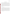### **3.0 TEST PROTOCOL**

The mercury CEM demonstration project is expected to cover about a one-year period from start to finish as seen in Table 3.1. Test planning and site preparation will take place over a period of three to four months. Field testing, involving the installation and testing of the mercury CEMs, will be conducted over about a three-month period at the TSCAI Facility. The CEMs will go through a start-up and shakedown period, followed by the Initial Monitoring Performance (MP) Test during the first month of field activities. The CEMs will operate for a period of six to nine weeks with minimal attention to perform routine inspections, maintenance, and calibration tasks. The Final MP Test will take place during the last week of the field test. All field activities will be concluded with removal of the CEMs from the facility. The final phase of the project consists of reduction of the data and report preparation. The primary project activities are described in further detail in the following sections.

### **3.1 Mercury CEMs Selection**

CEMs for mercury are typically designed for determining total and/or chemically speciated mercury in combustion source emissions. Total mercury is the sum of mercury in all phases and chemical forms in the combustion gas, including elemental mercury (Hg<sup>o</sup>) and oxidized mercury (primarily mercuric chloride  $(HgCl<sub>2</sub>)$ ) vapors, and particulate-phase mercury. Most commercial mercury CEMs do not measure particulate-phase mercury; instead they filter out particulate matter, and measure the total of the vapor-phase mercury species. Commercial CEMs may provide chemical speciation data, i.e., the total and elemental (or oxidized and elemental) fractions of the mercury vapor species are reported separately. This separation is commonly accomplished by a difference measurement, in which oxidized mercury is intermittently or continuously chemically or thermally reduced to elemental mercury for detection.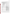| <b>Month</b>   | <b>Project Activity</b>                                                                                                                                                                                                                        |                                                                                                                      |  |
|----------------|------------------------------------------------------------------------------------------------------------------------------------------------------------------------------------------------------------------------------------------------|----------------------------------------------------------------------------------------------------------------------|--|
|                | <b>Test Planning and Site Preparation</b>                                                                                                                                                                                                      |                                                                                                                      |  |
| NA             | Procure mercury calibration gases<br>Prepare specification for data acquisition system and procure the system<br>Establish facility interfaces with mercury CEMs<br>Review, revise, and approve test/QA plan<br>Set up data acquisition system |                                                                                                                      |  |
|                | <b>CEM Field Activities</b>                                                                                                                                                                                                                    | <b>Data Analysis and Reporting</b>                                                                                   |  |
| $\mathbf{1}$   | Set up/install mercury CEMs<br>CEMs startup/shakedown<br><b>Initial MP Test</b><br>Unattended CEMs operation                                                                                                                                   | Sample analysis - Initial MP Test                                                                                    |  |
| $\overline{2}$ | Unattended CEMs operation                                                                                                                                                                                                                      | Data reduction - Initial MP Test<br><b>Evaluate Initial MP Test results</b><br>Adjust test/QA plan for Final MP Test |  |
| $\overline{3}$ | Unattended CEMs operation<br>Final MP Test<br><b>Decommission CEMs</b>                                                                                                                                                                         |                                                                                                                      |  |
| $\overline{4}$ |                                                                                                                                                                                                                                                | Sample analysis - Final MP Test<br><b>Evaluate Final MP Test results</b>                                             |  |
| 5              | Prepare data report                                                                                                                                                                                                                            |                                                                                                                      |  |
| 6              |                                                                                                                                                                                                                                                | Issue draft data report                                                                                              |  |
| $\tau$         |                                                                                                                                                                                                                                                | Prepare draft ETV verification reports<br>based upon draft data report                                               |  |
| 8              |                                                                                                                                                                                                                                                | Distribute data report for internal<br>review, and distribute verification<br>reports for vendor and EPA QA review   |  |
| 9              |                                                                                                                                                                                                                                                | Address/respond to data report<br>comments, and revise ETV verification<br>reports in light of review comments       |  |
| 10             | Distribute ETV verification reports for<br>stakeholder and EPA peer review                                                                                                                                                                     |                                                                                                                      |  |
| 11             | Finalize data report and ETV<br>verification reports based upon review<br>comments                                                                                                                                                             |                                                                                                                      |  |
| 12             |                                                                                                                                                                                                                                                | Issue final data report and submit ETV<br>verification reports for EPA approval                                      |  |

**Table 3.1. Schedule for TSCAI mercury CEM field evaluation**

The commercial mercury CEMs also use a variety of final analytical approaches to detect mercury. Cold vapor atomic absorption spectroscopy (CVAAS), cold vapor atomic fluorescence spectroscopy (CVAFS), and differential optical absorption spectroscopy (DOAS) are all used, but can detect only elemental mercury, and so require the speciation approaches outlined above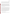to determine oxidized mercury. Atomic emission spectroscopy (AES) is used in at least one commercial CEM, and has the advantage that in principle all forms of mercury, including particulate mercury, are converted to elemental mercury and detected equally. This approach provides a true total mercury measurement, but does not provide any information on speciation.

The CEMs tested according to this plan may be verified for their measurement of any and all of the applicable mercury components listed above. For example, a monitor that determines total vapor phase mercury and elemental mercury, and by difference determines oxidized mercury, may be evaluated for measurements of all three components. In the United States, emission regulations on combustion sources are expected to address only total mercury. However, there are valuable non-regulatory uses of mercury speciation data, and therefore speciation capabilities of the CEMs will be evaluated if the degree of speciation is great enough to produce quantifiable measurements of various forms of mercury.

Selection of the mercury CEMs to be tested at the TSCAI will be a joint effort by the TSCAI facility staff, TMFA, CMST-CP, ETV stakeholders, and Battelle ETV personnel. As required by ETV, an open invitation to participate will be made to all mercury CEM vendors. Efforts will be made before the test to establish that the CEMs that may participate are suited for application on a wet stack to assure that they have a chance to succeed in the testing. Since mercury CEMs employ more than one analytical technique for measuring mercury, efforts will also be made to involve at least one monitor from each analytical technique in the test program. The CEMs should be commercial-ready monitors that could be readily applied to solving problems in the DOE complex and in other mercury-emitting facilities. Developmental instruments may be considered for inclusion if there is facility space available to accommodate them, but development instruments will not receive ETV verification.

### **3.2 Preliminary Reference Method Testing**

An existing tube furnace test apparatus in the Shaw E&I Technology Development Laboratory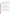will be used to generate a simulated stack gas containing controlled amounts of elemental and oxidized mercury under non-chlorinated and chlorinated conditions. The simulated stack gas will be sampled using an OH method sampling train and OH train samples will be submitted to the analytical laboratory for analysis. This exercise will be useful in evaluating suggested modifications to the OH method based on recommendations from the EPA Office of Research and Development. It will also provide an opportunity for the ETV program to conduct an audit of the Field Sampling Team and analytical laboratory performing the OH method protocol.

### **3.3 Equipment Setup and CEM Installation**

The mercury CEM instrument cabinets will be housed in the TSCAI Test Bed Mobile Laboratory Trailer. Approximately four to six instrument cabinets can be comfortably placed inside the trailer. Should additional space be needed to accommodate more CEMs, a second trailer may be installed at the site. A dedicated data acquisition system will be procured and placed inside the trailer for logging signals from the mercury CEMs. The data logger will also be connected to the facility SCADA system through an Ethernet link for collecting and logging important process parameters on the CEMs data logger.

The TSCAI stack (53.75 in. ID) has two stack-sampling platforms used for sampling and monitoring emissions from the air pollution control system. The location of the sampling ports and platforms is schematically represented in Figs. 3.1 and 3.2. Both platforms are accessible by ladders from the ground. The lower platform is approximately 30 ft from the ground. One port at this location is dedicated to a probe that extracts stack gas analyzed for carbon monoxide (CO), carbon dioxide (CO<sub>2</sub>), and oxygen  $(O<sub>2</sub>)$  by the facility CEMs. Other ports at this level are used for experimental CEM testing and compliance testing for gaseous pollutants. The upper platform is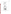

**Figure 3.1.**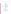

**Figure 3.2.**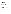approximately 50 ft from ground level and contains ports for a continuous radionuclide sampling system, a continuous metals sampling system, reference methods requiring traverses, and experimental CEM testing. A detailed listing of specifications relative to installing a CEM on the TSCAI stack is shown in Appendix A.

Each of the mercury CEMs will have their own dedicated sampling port on the stack. Vendorsupplied extractive sampling probes, installed in ports at the lower stack platform, will be connected to the analyzers by means of 100-ft long heated Teflon sample lines. As most commercial mercury CEMs do not measure particulate-bound mercury, there is no need to locate the analyzers in close proximity to the flue gas extraction location. Furthermore, placing the CEMs outside of the radiation area boundary, which surrounds the TSCAI, avoids the need for radiation worker training for vendor representatives and the need to regularly enter the radiation area for accessing the analyzer cabinet. Trained and experienced site personnel will install the vendor-supplied extractive probes and run the heated Teflon sample lines to the CEM cabinets located in the Test Bed Trailer. The project is prepared to provide each of the vendors a 100-ft long heated Teflon sample line based on a technical specification that will be provided to the vendors for their review and approval. If they so choose, the vendors may provide their own heated sample line if they have special requirements or use a patented system.

Previous testing of PM CEMs at the TSCAI demonstrated very good correlation between duplicate EPA Method 5i sampling trains placed at the upper platform and PM CEMs sampling from ports at the lower platform. Cyclonic flow and flue gas velocity measurements taken at the lower platform to justify the vertical separation of the reference method trains and the CEMs demonstrated the absence of cyclonic flow for PM measurements and revealed a relatively flat velocity profile. The flue gas velocity was only moderately higher in the region directly in the path of gas flow from the induced-draft fan transition duct. This data provides evidence that the use of the lower and upper platforms for locating the CEM probes and the reference method trains, respectively, is suitable for comparison measurements of mercury emissions.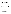Vendor representatives will be present to oversee the installation of the mercury CEMs; Shaw E&I field technicians will perform the hands-on installation of the probes in the stack. TSCAI maintenance staff will support setup and installation of the field hardware.

### **3.4 Start-up/Shakedown**

Vendor representatives will be on-hand to start-up the CEMs. The vendor representatives should plan to spend about one week in shaking down the CEMs and training a dedicated Shaw E&I field technician in the operation, calibration, and servicing of the units. The use of mercury calibration gas standards will be introduced during the shakedown period and a baseline response from the CEMs using the mercury standards will be obtained while the vendors are present. Routine calibrations will be performed to insure proper setup and operation of the CEMs and to train the dedicated field technician in calibration procedures. The vendors will be provided adequate time during the shakedown period to troubleshoot any problems that occur before proceeding to the Initial MP Test.

### **3.5 CEM Monitoring Performance Test Schedule**

Monitoring Performance (MP) tests utilizing mercury calibration gas standards and OH reference method measurements will be conducted immediately following the shakedown period and at the end of the field study, respectively. The schedule for the two-week-long MP tests is shown in Table 3.2. The initial and final MP tests will follow the same testing format. An additional factor for evaluation in the final week of tests is determination of whether the CEM response has changed, drifted, or shifted over time between the initial and final test periods. It is recommended that the vendor representatives be present to oversee operation of their CEM and to validate their CEM response during these two weeks of testing.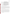| Day            | <b>CEM Monitoring Performance Parameter</b>                                                                                          |  |  |  |
|----------------|--------------------------------------------------------------------------------------------------------------------------------------|--|--|--|
|                | Challenge with Hg <sup>o</sup> standard/zero gas (Calibration/Zero Drift)                                                            |  |  |  |
|                | Flue gas sampling (Relative Accuracy, Correlation, Precision)                                                                        |  |  |  |
| $\overline{2}$ | Challenge with Hg <sup>o</sup> standard/zero gas (Calibration/Zero Drift)                                                            |  |  |  |
|                | Flue gas sampling (Relative Accuracy, Correlation, Precision)                                                                        |  |  |  |
| 3              | Challenge with HgE standard/zero gas (Calibration/Zero Drift)                                                                        |  |  |  |
|                | Flue gas sampling (Relative Accuracy, Correlation, Precision)                                                                        |  |  |  |
| $\overline{4}$ | Challenge with Hg° standard/zero gas (Calibration/Zero Drift)                                                                        |  |  |  |
|                | Flue gas sampling (Relative Accuracy, Correlation, Precision)                                                                        |  |  |  |
| 5              | Challenge with Hg <sup>o</sup> standard/zero gas (Calibration/Zero Drift, Response Time,<br>Sampling System Bias, Calibration Error) |  |  |  |

| Table 3.2. Weekly schedule for MP tests |  |  |  |  |  |
|-----------------------------------------|--|--|--|--|--|
|-----------------------------------------|--|--|--|--|--|

### **3.6 CEM Monitoring Performance Test Procedures**

The TSCAI will be operated continuously during the entire MP test period, and will not be shut down overnight. Such continuous round-the-clock operation is the standard mode of operation for the TSCAI. The TSCAI is normally operated for a three-month campaign to treat liquid and solid wastes, and then the unit is shut down for approximately three months to perform scheduled maintenance tasks and to repackage solid wastes in preparation for the next operating campaign. This three-month burn/three-month shutdown rotational cycle maximizes the time that waste is being treated when the incinerator is operating.

At the beginning of each test day the CEMs undergoing testing will be supplied with zero gas and then with a commercial compressed gas standard containing elemental mercury. The response to each gas will be recorded on each test day to assess the zero and calibration drift of the CEMs. On one test day in each week of testing, the rise and fall times of the CEMs will be determined to assess response time by recording their readings as the mercury calibration gas is first turned on, and later turned off. Also on one day in each week of testing, the mercury calibration gas standards will be delivered first directly to the CEM's mercury analyzer, and then through the CEM's sample interface, to assess sampling system bias and calibration error introduced by the interface itself.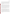After the CEMs have been challenged with the calibration gas standards, the CEMs will extract flue gas from the stack in preparation for conducting reference method measurements. Waste feeds will be fed to the TSCAI for at least 30 min before initiating reference method sampling. The mercury CEMs will begin recording data as soon as they are brought on-line. However, the reference method sampling will start no sooner than a time previously agreed upon with the CEM vendors. The CEM vendors will be given at least 15 minutes notice prior to initiation of reference method sampling.

OH method sampling will be performed while burning liquid, solid, and/or a combination of liquid and solid wastes. Testing will be done at a low and high mercury stack concentration, approximately 10 µg/dscm and 60 µg/dscm, respectively. Mercury stack concentrations will be varied by varying the waste feed rate, by injecting mercury solutions into the waste feeds, or by a combination of both. Injection of mercury is an alternative that will be used as necessary depending on the levels of mercury in the wastes. The waste feeds to be used for the test will be selected based on availability and will not be determined until the time of testing draws near. There will, however, be an attempt to select liquid wastes that will generate a steady, constant level of mercury in the stack as well as solid wastes, which produce intermittent spikes of mercury due to the batch-wise nature of solid waste feeds.

Reference method measurements will be made using paired sampling trains located at the upper sampling platform, while the CEM probes are extracting flue gas from ports at the lower platform. The reference method sampling time will be approximately three hours with the low mercury levels and approximately one hour with the higher mercury levels. A total of 10 test runs using paired sampling trains will be conducted during each MP Test. A summary of the reference method sampling events planned for the MP Test is provided in Table 3.3. To ensure that the reference method and CEM data sets are indeed parallel and comparable for each period, the CEM vendors will be notified of the start and stop times of each reference method period so that average analyte concentrations corresponding directly to the reference method measurement period can be reported.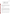| Day | <b>Stack Mercury</b><br>Concentration<br>$(\mu g/dscm)$ | <b>No. of Test</b><br>Runs | <b>Sample</b><br><b>Time</b><br>$(\mathbf{h}\mathbf{r})$ |
|-----|---------------------------------------------------------|----------------------------|----------------------------------------------------------|
|     |                                                         |                            |                                                          |
|     |                                                         |                            |                                                          |
|     |                                                         |                            |                                                          |
|     |                                                         |                            |                                                          |

**Table 3.3. Sampling requirements for paired train Ontario Hydro testing**

The OH sampling trains will sample isokinetically and traverse the stack at points determined by EPA Method 1. The CEMs undergoing testing will sample at a single (fixed) point in the stack. Each CEM will operate with an extraction probe provided by the vendor. Each CEM probe will be connected to its respective analyzer by means of a 100-ft long heated sample line maintained at a temperature specified by the vendor.

### **3.7 Unattended Operation**

At the conclusion of the initial week of monitoring performance testing, it is expected that the vendor representatives will leave the site and that the trained Field Technician will assume routine operation, calibration, and maintenance of the CEMs. The CEMs will be challenged with the mercury calibration gas standards during this period to confirm that the CEMs are continuing to respond properly. Calibration and zero drift checks will be made as often as possible, while assuring that sufficient calibration gas is available to complete the final week of testing. Routine maintenance checks will be made according to a documented schedule and checklist determined by each CEM vendor.

Should problems arise with the CEMs, the Field Technician will first attempt to troubleshoot the problem either alone or with instructions from the vendor through telephone conversations, facsimile transmittal, or e-mail communication. If the Field Technician is unsuccessful in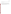resolving the problem, then the vendor representative will be requested to visit the site to investigate and resolve the problem.

Information will be recorded to document the reliability and performance of the CEMs during the unattended operational period. The information recorded may include the extent of operational downtime; the support and maintenance requirements, including labor hours and costs; the expendable supplies required; the extent of CEM drift or adjustments needed; and the effort required from the manufacturer to resolve any problems.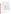### **4.0 DATA GENERATION AND CALCULATIONS**

Measurement results from both the reference method and the mercury CEMs to be evaluated are to be reported in units of Fg/dscm at 7%  $O_2$  (i.e., Fg/m<sup>3</sup> on a dry basis, corrected to 20EC and 7%  $O<sub>2</sub>$ ). The following paragraphs describe how the data will be generated and what calculations will be made to assess the performance of the CEMs. A summary of the data requirements is provided in Table 4.1.

| <b>Performance Parameter</b> | Objective                                                                                                 | <b>Comparison Based On</b>                                                                        |  |
|------------------------------|-----------------------------------------------------------------------------------------------------------|---------------------------------------------------------------------------------------------------|--|
| Relative Accuracy            | Determine degree of quantitative<br>agreement with reference method                                       | Reference method results                                                                          |  |
| Correlation                  | Determine degree of correlation<br>with reference method                                                  | Reference method results                                                                          |  |
| Precision                    | Determine repeatability of<br>successive measurements at fixed<br>mercury levels                          | Repetitive measurements under<br>constant facility conditions                                     |  |
| Cal/Zero Drift               | Determine stability of zero gas<br>and span gas response                                                  | Zero Gas and Hg <sup>o</sup> Standards                                                            |  |
| Relative Cal/Zero Drift      | Determine relative response to<br>zero gas and span gas over<br>successive days                           | Zero Gas and Hg <sup>o</sup> Standards                                                            |  |
| Sampling System Bias         | Determine effect of the CEM's<br>sample interface on response to<br>zero gas and Hg <sup>o</sup> standard | Response to Zero Gas and Hg <sup>o</sup><br>Standards at analyzer vs. through<br>sample interface |  |
| <b>Calibration Error</b>     | Determine effect of the CEM's<br>sample interface on response to<br>zero gas and Hg <sup>o</sup> standard | Response to Zero Gas and Hg <sup>o</sup><br>Standards through sample<br>interface                 |  |
| Response Time                | Estimate rise and fall times of the<br><b>CEMs</b>                                                        | CEM results at start/stop of Hg<br>addition                                                       |  |

**Table 4.1. Data requirements for the mercury CEM performance evaluation tests**

### **4.1 Calibration and Zero Drift**

Calibration and zero drift will be determined based on challenging the CEMs with zero gas and with a compressed gas standard of elemental mercury on each test day in each week of the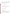performance evaluation test. Calibration and zero drift checks will also be done periodically during the unattended operational period between the initial and final weeks of MP testing. Calibration drift (CD) describes the difference in the mercury CEM's output readings from the established reference value after a stated period of operation during which no unscheduled maintenance, repair or adjustment took place.

$$
CD = \frac{(R_{CEM} - R_V)}{R_V} \times 100
$$

Where

 $R_{\text{CEM}}$  = CEM response, and

 $R_V$  = Reference value of the high level calibration standard.

Zero drift (ZD) represents the difference in the mercury CEM's output readings for zero input after a stated period of operation during which no unscheduled maintenance, repair or adjustment took place.

$$
ZD = \frac{(R_{CEM} - R_V)}{R_{EM}} \times 100
$$

Where

 $R_{\text{CEM}}$  = CEM response for zero input,

 $R_V$  = Reference response for zero input, and

 $R_{EM}$  = emission limit.

### **4.2 Relative Calibration and Zero Drift**

Since mercury calibration gas standards have not been widely used, their absolute quantitation for assessing accuracy of mercury CEMs has not been universally accepted at this time. Section 5.2 describes the validation procedure that will be used to test the stability of the mercury calibration gas standards. Depending on the stability of the mercury standards, it may not be appropriate to use them as absolute calibration standards. With this in mind, an alternative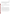method of evaluating calibration and zero drift in a relative sense may also be used, rather than as deviations from an absolute standard. That is, calibration and zero drift will be reported in terms of the mean, relative standard deviation, and range (maximum and minimum) of the readings obtained from the CEM in the daily sampling of the same Hg<sup>o</sup> standard gas, and of zero gas. The relative standard deviation (RSD) will be calculated as

$$
RSD = \frac{SD}{\overline{X}} \times 100
$$

where  $\overline{X}$  is the mean, and SD the standard deviation, of the daily readings on standard or zero gas. This calculation, along with the range of the data, will indicate the variation in zero and standard readings from (e.g.) day to day, week to week, and from the start of the verification test to the end.

### **4.3 Relative Accuracy**

Relative accuracy (RA) will be verified by comparing the CEM results against the reference results, for each parameter that the CEM measures. The OH method results will be reviewed before performing statistical calculations to identify individual outliers from the full set of reference method results. The OH results will be screened for precision of results from colocated sampling trains. OH test results which are identified as outliers will be reported, but may not be used for performance evaluation. The intent of this approach is to provide a valid set of reference data for evaluation purposes, while also illustrating the degree of variability of the reference method. Identification of outliers will be based on basic statistical tests such as a t-test comparison of means, or a Q-test evaluation of divergent results. In any case where rejection of a reference result is suggested, effort will be made to find a cause for the divergent result.

The RA of the CEMs with respect to the reference method will be calculated using: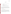Page 39 of 60 Rev. 3 June 19, 2002

$$
RA = \frac{\overline{d} + \frac{t_{0.975}}{\sqrt{n}} SD}{\overline{R}_{RM}}
$$

Where

- $\overline{d}$  = arithmetic mean of the difference, d, of the paired CEMs and the reference method results,
- $\overline{R}_{RM}$  = arithmetic mean of the reference method result,
	- n = number of data points,
	- $t_{0.975}$  = the t-value at the 97.5% confidence with n-1 degrees of freedom, and
	- SD = Standard deviation of the paired CEMs and the reference results.

Relative accuracy will be calculated separately for each parameter measured by each CEM. Depending on the number of OH reference method samples that are available for determining RA, the RA procedure specified in PS-12 may be used to exclude up to three of the results from the RA calculation. The impact of the number of data points (n) on the RA value will be discussed in the data report.

### **4.4 Correlation with Reference Method**

Correlation of the CEM with the OH method will be calculated using the same data used to assess relative accuracy. Correlation will be calculated for each parameter measured by the CEM. The coefficient of determination  $(r^2)$  will be calculated to determine the degree of correlation of each CEM with the reference method results. Coefficient of determination is the square of the correlation coefficient (r). The coefficient of determination will be calculated for each parameter measured by each CEM to be evaluated.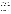### **4.5 Precision**

Precision of the CEMs will be assessed based on the individual measurements performed by each CEM over the duration of applicable OH method sampling runs. For example, if a CEM provides an updated measurement every 5 minutes, then over a one-hour sampling run a total of 12 readings would be obtained. The average and standard deviation of those readings will be calculated to assess precision. This procedure will be applied to all applicable Ontario Hydro method sampling intervals during times of stable incinerator operation.

Precision (P) of the CEMs to be evaluated will be determined by calculating the percent relative standard deviation (RSD) of a series of CEM measurements made during stable operation of the TSCAI, with mercury injected at a constant level into the combustion zone. During each reference method sampling run, all readings from each CEM will be recorded. RSD is the ratio of standard deviation of those readings over the mean of the readings. Where

$$
P = RSD = \frac{SD}{\overline{X}} \times 100
$$

*SD* = standard deviation of the readings from the CEM, and

 $\overline{X}$  = mean of the CEM readings.

Precision will be calculated for each CEM using data from every reference method sampling run. The calculated precision values include all sources of variability (e.g., TSCAI fluctuations, instability in mercury injection, etc.), and not just the CEM variability. Any known variability of the test facility and the CEMs will be reported with the calculated precision. All CEM data from the periods of precision testing will be reviewed to determine whether the consensus of the CEM data indicates a variation in the test facility itself.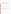### **4.6 Sampling System Bias**

The sampling system bias test will be performed as part of the calibration/zero drift test procedure, in each week of performance evaluation testing. Sampling system bias (B) reflects the difference in CEM response when sampling mercury standard gas through the CEM's entire sample interface, compared to that when sampling the same gas directly at the CEM's pollutant analyzer, i.e.:

$$
B = \frac{R_i - R_d}{R_d} \times 100
$$

where

 $R_i$ =CEM's reading when the standard gas is supplied at the sampling inlet, and  $R_d$  = CEM's reading when the standard is supplied directly to the analyzer.

### **4.7 Calibration Error**

Another way to express sampling system bias is by means of the Calibration Error. Calibration error (CE) is used to determine the difference between the concentration measured by the CEM and the known concentration generated by a calibration source when the entire CEM (including the sample interface) is challenged.

Where

$$
CE = \frac{d}{R_v} \times 100
$$

 $d =$  difference of the paired data points from the CEM and the reference method, and  $R_V$  = reference concentration value.

### **4.8 Response Time**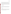The response time refers to the time interval between the start of a step change in mercury input and the time when the CEM reading has reached 95% of the final value. Both rise time and fall time will be determined. CEM response times will be obtained in conjunction with a calibration/zero drift check or sampling system bias check, by starting or stopping delivery of the mercury standard gas to the CEM analyzer or sampling interface, recording all readings until stable readings are obtained, and then estimating the 95% response time. For those CEMs, whose measurement process is not truly continuous, the estimation process will require interpolating between successive readings.

### **4.9 Data Availability**

No additional test activities will be required to determine the data availability achieved by the CEMs. Data availability will be assessed by comparing the data recovered from each CEM to the amount of data that would be recovered upon completion of all portions of these test procedures.

### **4.10 Maintenance**

Setup and maintenance needs will be documented qualitatively, both through observation and through communication with the vendors during the test. Factors to be noted include the frequency of scheduled maintenance activities, the downtime of the CEM, and the number of staff operating or maintaining it during the evaluation tests.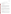### **5.0 MATERIALS AND EQUIPMENT**

### **5.1 High Purity Nitrogen/Air**

The high purity gases used for zeroing of the CEMs will be commercial ultra-high purity (UHP, i.e., minimum 99.999% purity) air or nitrogen.

### **5.2 Mercury Standard Gases**

Compressed gas standards containing elemental mercury (HgE) will be obtained from Spectra Gases for use in assessing drift of the CEMs. These will consist of HgE in a nitrogen matrix, at levels of about 1 ppb (8  $\mu$ g/m<sup>3</sup>) and 5 ppb (40  $\mu$ g/m<sup>3</sup>). Multiple cylinders of uniform concentration will be obtained to meet the gas consumption rates of the CEMs during the tests. Spectra Gases determines the concentrations of the gas standards using a Seefelder analyzer maintained at Spectra Gases under laboratory conditions.

Due to uncertainties with respect to compressed gas standard stability and instrumentation drift, a procedure has been developed to audit the stability of the compressed gas standards prior to the beginning of the test program, during the program and at the end of the program. The objective of the audit process will be to identify any drift in the stability of the compressed gas standards independently of the drift that may also occur within the actual CEMs to be used. The procedure consists of the following tasks:

- C Spectra Gases will provide the cylinders of compressed gas standards. These will be analyzed at Spectra Gases using their standard procedure that employs the technique of using a calibrated Seefelder analyzer.
- C Upon receipt of all compressed gas cylinders at the TSCAI site, the response of all cylinders will be measured by an independent Seefelder mercury analyzer and the ratio of the response of each cylinder will then be compared to the ratio of the values of the concentrations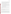provided by Spectra Gases. The intent of this step is to ensure that all cylinder concentrations are in the same relative proportion as the values provided by the gas supplier. This will also establish a control that can be repeated periodically to insure that the standards remain stable, or that if they do not, that the rate of degradation has been established.

- C Each cylinder will be taken out of service at a predetermined final cylinder pressure with sufficient gas remaining to conduct the following tests:
	- Analysis of the cylinder by the independent analyzer at the date that the cylinder is taken out of service—this will determine the cylinder concentration at the end of its service.
	- If a cylinder is taken out of service early in the test program (i.e., after the Initial MP Test), it will then remain at the site until a shipment of cylinders is ready to be made back to Spectra Gases. Prior to shipment, cylinders stored for extended periods of time will again be analyzed by the independent analyzer.
	- Upon return to Spectra Gases, each cylinder's final response and calibration value will be determined using Spectra's Seefelder instrument.
- C Data analysis will be conducted on all cylinder response values obtained to determine the stability of the gases, and to determine the degradation rate, if any, that has occurred during the test program.

This procedure ensures that the degradation rate can be quantified both as a function of time and as a function of quantity of gas remaining in the cylinder. The information will be used to factor out any effects of calibration gas stability from the analyses associated with CEMs response, drift and other required performance analyses.

The compressed gas cylinders will be located inside the trailer near the CEM instrument cabinets for ease of access while performing calibrations and to keep the cylinders at room temperature while in use to ensure uniform gas concentration throughout the test. It may be necessary to place one or two cylinders on the lower sampling platform while conducting the sampling system bias and calibration error checks in order to conserve the gas. Cylinders may be stored outdoors for periods of time before testing begins or while waiting for return shipment to Spectra Gases.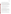### **5.3 Mercury Injection for Adjusting Mercury Levels in Waste Feeds**

The mercury solutions used to inject mercury into the waste feed lines for reaching target concentrations of mercury in the stack will be aqueous solutions of mercury II acetate. The solutions will be injected into the waste feed lines downstream of the mass flow meters and upstream of the waste feed cut-off valves. A dedicated pumping system will control and record the injection rate of the solution into the waste feed line. In terms of performance testing, while mercury injection solution concentrations and feed rates aid in establishing the appropriate flue gas mercury concentrations, the actual flue gas mercury content will be determined by the OH reference method sampling, and not by calculation of the injected mercury.

### **5.4 Mercury Spiking Standard for Reference Method Performance Evaluation**

A NIST-traceable aqueous mercury standard, obtained from a commercial supplier, will be used as the spiking solution in the performance evaluation of the reference method.

### **5.5 Sampling Trains Handling and Tracking Protocol**

The Shaw E&I Field Sampling Team will supply the glassware, probes, heater boxes, meter boxes, and other associated equipment for performance of the OH method sampling. Severn Trent Laboratories will supply the chemical reagents and materials that are used in the OH sampling train impingers. Multiple trains will be prepared each day so that as many as six trains (i.e., three sampling runs with two trains each) may be sampled in a single day, in addition to at least one blank train. Sampling train preparation, sampling, sample recovery, and cleaning of used trains will be the responsibility of the Field Sampling Team.

The Field Sampling Team will recover samples from OH method trains will in a laboratory facility adjacent to the TSCAI site. Containers for collecting and storing samples will be purchased and labeled for tracking by Severn Trent Laboratories and subsequently supplied to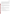the Field Sampling Team. Request for Analysis/Chain of Custody (RFA/COC) forms afford the necessary documentation to record sample possession from the time of collection by the Field Sampling Team through analysis by the laboratory. Specifications for the analysis of these samples and special instructions to the laboratory are also included on the RFA/COCs. The Field Sampling Team will track the samples using a numbering system provided by the analytical laboratory for numbering and tracking samples. The original RFA/COC form will remain with the sample at all times.

Samples will be packaged and delivered by the Field Sampling Team to Severn Trent Laboratories, located within a 30 minute driving distance of the TSCAI site. RFA/COC forms and samples will be directly delivered to laboratory personnel, who will review and confirm the samples in the presence of Field Sampling Team personnel prior to acceptance by the laboratory.

### **5.6 Analysis Equipment**

Laboratory equipment for sample recovery and analysis will be provided by Severn Trent Laboratories. This will include all chemicals and solutions for rinsing train components and recovering impinger samples, as well as cold vapor atomic absorption (CVAA) spectroscopy equipment for mercury determination.

### **5.7 Miscellaneous Materials and Equipment**

Various other materials, equipment, and support services will be needed to complete the field test. These include calibration gas regulators, heated sample lines, tubing, telephone connection in the laboratory trailer, photography, and report publication services.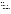### **6.0 QUALITY ASSURANCE/QUALITY CONTROL**

### **6.1 Equipment Calibrations**

### 6.1.1 TSCA Incinerator Monitoring Equipment

The TSCAI equipment that provides measurements for operation of the incinerator, verification of permit compliance, and determination of the reference method results requires compliance level calibration procedures. Such measurements include waste feed rates, combustion chamber temperatures, off-gas scrubber liquid flows, and stack  $O_2$ , CO, and CO<sub>2</sub> content. Calibration procedures along with calibration schedules must be in place and followed during the field test. Calibration results will be made available if requested for auditing purposes.

### 6.1.2 Reference Method

Most measurements for determining the results of the reference method will be taken using equipment provided by the Field Sampling Team.  $(O_2)$ , and  $CO_2$  measurements may be taken from the facility CEMs.) The reference method sampling must be performed according to the QA/QC requirements stated in the ASTM draft Ontario Hydro standard test method. Examples of such requirements include use of blank sampling trains and blank sampling materials, such as filters and reagent solution blanks. QA/QC activities will be recorded.

### 6.1.3 Analytical Laboratory

Severn Trent Laboratories, conducting the analysis of samples from the reference method by cold-vapor atomic absorption spectroscopy (CVAAS) as required by the OH method, will be required to include the calibration records for the mercury analysis equipment with the analytical results. Calibration approaches for the mercury analysis will be as specified in sections 8.9 and 12.2 of the OH method, and calibrations will be documented in the same way as are Severn-Trent's continuing calibration procedures.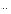### **6.2 Audits**

### 6.2.1 Technical Systems Audits

The purpose of the Technical Systems Audits (TSA) is to verify that the field evaluation test is being performed in accordance with this test/QA plan and that all QA/QC procedures are being implemented. More specifically, the actual procedures for data acquisition and handling, such as sampling and analysis methods used, will be audited against the procedures stated in the test/QA plan. At least one TSA audit will be conducted during this field test. FIU-HCET is responsible for the TSA audit and preparing the TSA finding report, which will be reported to the Battelle QA Manager.

Battelle QA staff will also conduct an on-site Technical Systems Audit, in addition to any Technical Systems Audit carried out by FIU-HCET. This TSA may be coordinated in time with FIU's TSA, and may involve review by Battelle QA staff of the QA activities conducted by FIU. In addition, EPA QA staff may conduct a separate TSA, at their own discretion.

### 6.2.2 Performance Evaluation Audit

A performance evaluation (PE) audit will be conducted to ensure that OH reference method sampling equipment and TSCAI stack monitoring instrumentation used for producing reference method results provide quality measurements. Table 6.1 shows the key measurements that may be audited. As can be seen from Table 6.1, the audit will be conducted by comparing data from the reference method sampling train or TSCAI to that from an independent analyzer or monitor, operated simultaneously and sampled at the same point in the duct.

| <b>Parameter</b> | <b>Audit Method</b>                                                                                               | <b>Expected Tolerance</b> |
|------------------|-------------------------------------------------------------------------------------------------------------------|---------------------------|
|                  | Compare to independent $O_2$ measurement, operated<br>simultaneously and sampled at the same point of the<br>duct | $\pm 1\%$ O <sub>2</sub>  |

### **Table 6.1. Summary of performance evaluation audits**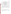| CO,                                  | Compare to independent CO <sub>2</sub> measurement, operated<br>simultaneously and sampled at the same point of the<br>duct | $\pm 10\%$ of CO <sub>2</sub> reading      |
|--------------------------------------|-----------------------------------------------------------------------------------------------------------------------------|--------------------------------------------|
| Temperature                          | Compare to independent temperature measurement,<br>operated simultaneously and sampled at the same point<br>of the duct     | $\pm 2\%$ absolute<br>temperature          |
| Barometric<br>Pressure               | Compare to independent pressure measurement,<br>operated simultaneously and sampled at the same point                       | $\pm 0.5$ inch of H <sub>2</sub> O         |
| Flue Gas<br>Differential<br>Pressure | Compare to independent pressure measurement,<br>operated simultaneously and sampled at the same point<br>of the duct        | $\pm 0.5$ inch of H <sub>2</sub> O         |
| OH Gas Flow<br>Rate                  | Compare to independent flow measurement, operated<br>simultaneously on the same flow                                        | $5\%$                                      |
| Mass $(H2O)$                         | Check balance with calibrated weights                                                                                       | $\pm 1\%$ or 0.5 g,<br>whichever is larger |
| OH Method                            | Spike one sampling train in each week of OH sampling<br>using a NIST-traceable mercury solution                             | $\pm 10\%$                                 |

This audit will be the responsibility of Battelle staff. Battelle will supply the staff and equipment needed to make the independent audit measurements. If agreement outside the indicated tolerance is found, the test will be repeated. Further failure to achieve agreement will result in use of a different independent measurement device. If adequate agreement between independent measurements cannot be reached, the affected reference data will be flagged in the data analysis and reports.

### 6.2.3 Data Quality Audit

A minimum of 10% of the data acquired in the field evaluation tests will be audited by tracking the data from initial acquisition, through reduction and statistical calculations, and to final reporting. FIU-HCET will perform this audit. Battelle will also conduct a comparable audit in the preparation of the draft ETV verification reports.

6.2.4 Audit Reports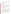All Battelle audits will be documented in accordance with Section 3.3.4 of the Quality Management Plan for the AMS center.<sup>7</sup> An audit report will include the following sections:

- C Identification of any adverse findings or potential problems;
- C Space for response to adverse findings or potential problems;
- C Possible recommendations for resolving problems;
- C Citation of any noteworthy practices that may be of use to others; and
- C Confirmation that corrective actions (if necessary) have been implemented and are effective.

Audit reports will be distributed to the FIU-HCET and ETV QA Managers and the Principal Investigator. Amendments and deviations to the test/QA plan will be documented by the FIU-HCET QA Manager and distributed to the ETV QA Manager. The Principal Investigator or their designee will approve test/QA plan amendments and deviations. Should major problems arise during the project, real-time communication between the Principal Investigator and the FIU-HCET and ETV QA Managers will be necessary to determine potential project impacts and corrective actions for problem resolution.

### 6.2.5 Corrective Action

The process for corrective actions in this test is designed to meet the requirements of the Quality Management Plan for the ETV AMS Center.<sup>7</sup> FIU-HCET is responsible for determining if any immediate (by noon of the following workday) corrective action should be taken for each negative finding or potential problem identified in the audits. If serious quality problems exist, the FIU-HCET QA Manager is authorized to stop work. Battelle QA staff will communicate directly with FIU-HCET staff concerning any findings from Battelle or EPA audits. The Principal Investigator has the ultimate responsibility for providing a response to the findings and implementing any necessary corrective action. The FIU-HCET assigned QA Manager will follow-up on corrective actions. Battelle will be responsible for providing to EPA an audit assessment report within 10 working days after the Battelle QA manager has verified that corrective actions have been taken.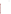Page 51 of 60 Rev. 3 June 19, 2002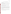### **7.0 DATA ANALYSIS AND REPORTING**

### **7.1 Data Acquisition**

Data gathered during the field evaluation can be divided into three categories: reference method data, mercury CEMs data, and process operational data, such as combustion source conditions, test temperatures, the times of test activities, etc. Table 7.1 lists the types of data to be recorded, recording frequency, and responsible party.

Mercury CEM response data will be recorded by a dedicated data logger procured specifically for this project. The CEM vendors will be responsible for reviewing and validating their respective CEM response data at the end of each RA test day. The vendors must include all individual readings of all tests conducted on that day.

Other data will be recorded either in laboratory record books or in standard data sheets provided by Shaw E&I and Severn Trent Laboratories. These records will be reviewed on a daily basis to determine the validity of the sampling runs and resolve any inconsistencies. All written records must be in ink. Any corrections to notebook entries, or changes in recorded data, must be made with a single line through the original entry. The correction is then to be entered, initialed, and dated by the person making the correction. The majority of the data will be input to validated computer spreadsheets.

In all cases, strict confidentiality of data from each vendor's CEM, and strict separation of data from different CEMs, will be maintained. Separate files (including manual records, printouts, and/or electronic data files) will be kept for each CEM.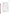## US EPA ARCHIVE DOCUMENT

| <b>Data Validation</b><br>7.2 |                                                                                                                        |                                                     |                                                                                           | Table 7.1. Summary of Data Recording Process                                 |                                                                                                     |
|-------------------------------|------------------------------------------------------------------------------------------------------------------------|-----------------------------------------------------|-------------------------------------------------------------------------------------------|------------------------------------------------------------------------------|-----------------------------------------------------------------------------------------------------|
|                               | Data to be Recorded                                                                                                    | Responsible<br>Party                                | Where Recorded                                                                            | Recording Frequency                                                          | Disposition of Data                                                                                 |
|                               | Dates and times of test<br>events                                                                                      | Shaw E&I                                            | Laboratory record books                                                                   | Start and end of each test,<br>parameter is changed<br>and every time a test | Used to organize/check test results;<br>Manually incorporated in data<br>spread sheets as necessary |
|                               | such as waste feed rates,<br>temperatures, flue gas<br>Operating parameters<br>combustion chamber<br>composition, etc. | Shaw E&I                                            | SCADA data logger                                                                         | Continuous at set<br>acquisition rate                                        | Used to organize/check test results;<br>Manually incorporated in data<br>spreadsheets as necessary  |
|                               | Mercury gas standards                                                                                                  | Shaw E&I and<br>FIU-HCET                            | Laboratory record books                                                                   | When received from<br>manufacturer                                           | Manually entered into spreadsheets                                                                  |
|                               | Mercury CEM readings                                                                                                   |                                                     |                                                                                           |                                                                              |                                                                                                     |
|                               | - digital display<br>- printout                                                                                        | Vendor                                              | Data sheets provided by<br>Shaw $E&$                                                      | At specified points during<br>each test                                      | Used to validate the electronic<br>record                                                           |
|                               | - electronic output                                                                                                    | Shaw E&I                                            | Dedicated data logger                                                                     | Continuously at specified<br>acquisition rate through<br>each test           | Electronically transferred to<br>spreadsheets                                                       |
|                               | Reference method<br>sampling data                                                                                      | Shaw E&I                                            | data acquisition system,<br>books, data sheets, or<br>Laboratory record<br>as appropriate | Throughout reference<br>method sampling                                      | Used to organize/check test results;<br>manually incorporated in data<br>spreadsheets as necessary  |
|                               | sample analysis, chain<br>of custody and results<br>Reference method                                                   | Shaw E&I and<br><b>Severn Trent</b><br>Laboratories | data acquisition system,<br>books, data sheets, or<br>Laboratory record<br>as appropriate | handling and analysis<br>Throughout sample<br>process                        | Transferred to spreadsheets                                                                         |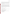Records generated in this test will receive a one-over-one review within two weeks after generation, and before those records are used to calculate, evaluate, or report verification results. Those records may include (e.g.) laboratory record books; operating data from the TSCAI; data from the CEMs; or reference analytical results. The person doing this review will document it by adding his initials and the date to a hard copy of the record, and returning that record to the person who generated or is storing it.

All data acquired during the field evaluation will be reviewed against a set of established criteria to provide a level of assurance of its validity prior to use. FIU-HCET will be responsible for data validation. All measurement data will be validated based on process conditions during sampling or testing, adherence to prescribed sampling, testing and QA procedures, consistency with expected and/or reference results, and other test-specific acceptance criteria. The data will be labeled as valid or invalid based on how well it meets these criteria. The QC criteria for data validation include consistency, duplicate sample calibrations, tests for outliers, transmittal error, and uncertainty analysis.

Data validation will be conducted by the following means:

- C Field checks of raw and reduced data;
- C Standard analytical laboratory QC checks, including those specifically called for by the OH method;
- C QA audits on overall testing and sampling procedures;
- C Comparing summary tables with raw data;
- C Comparing actual results with expected results;
- C Determine consistency of results among multiple measurements at the same location;
- C Review of all input to spreadsheets;
- C Verify calculation results; and
- C Draft and final report review.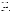Any data that become invalid through data validation will be discussed in the data report in conjunction with the reason for disqualifying the data. Examples of such reasons include suspected sample contamination, and that drift data exceeded acceptance criteria.

### **7.3 Reporting**

Data from the CEMs collected during calibrations, comparisons with reference method measurements, and routine unattended operation between the MP Tests will be evaluated using the parameters in Section 4.0 to assess the performance of each of the monitoring systems. After the data have been assimilated, each of the vendors will have an opportunity to review and comment on the results of their respective monitor's performance. A final draft data report will be prepared and distributed for comment/peer review prior to publication.

The data report will be a single report meeting the DOE TMFA reporting requirements and will include all test results of all CEMs evaluated. Data and result interpretations will be presented. The report will contain, at a minimum, the following sections: description of the TSCAI, description of the mercury CEMs evaluated, description of the reference method, technical approach and test protocol, operational and maintenance requirements, tests results including calibration results and statistical calculation results, and conclusions.

Battelle ETV staff will also produce an independent set of verification reports, using the draft data report as a starting point. Separate verification reports will be prepared, each addressing a CEM provided by one commercial vendor. Each verification report will present the test procedures and test data, as well as the results of the statistical evaluation of those data. The draft verification reports will be submitted to EPA QA staff and the CEM vendors for review, at the same time that the draft data report is distributed for review. The verification reports and draft data report will be revised, based on all review comments received. The ETV verification reports will then undergo a second round of review by EPA peer reviewers and AMS Center stakeholders. Following revisions based on those reviews, the ETV verification reports and verification statements will be submitted to EPA for final approval.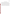### **8.0 HEALTH AND SAFETY**

All participants in this test (i.e., Shaw E&I, FIU, Battelle and EPA staff, and vendor representatives) will adhere to the health and safety requirements of the TSCAI facility. All parties involved in the test will participate in Safety Tailgate Meetings each morning. Vendor representatives will spend the majority of their time on site in the CEM Testbed trailer where the mercury CEM analyzers will be housed. Since the analytical instruments will be set up outside the radiation area, it is not anticipated that the vendors will have a need to perform any hands-on work inside the radiation area. Trained IT technicians will perform hands-on installation of instrument probes at the stack. Should there be a need for a vendor representative to perform hands-on work inside the radiation area, then they will be required to comply with the training requirements for hands-on work in the area (i.e., 24-hr HAZWOPER and Radiation Worker II).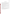### **9.0 BIBLIOGRAPHY**

- 1. Field Evaluation of MERCEM Mercury Emission Analyzer System at the Oak Ridge TSCA Incinerator, East Tennessee Technology Park, Oak Ridge, Tennessee, Prepared by Bechtel Jacobs Company LLC for the U.S. Department of Energy, March 2000.
- 2. Site-Specific Quality Assurance Test Plan for Particulate Matter Continuous Emission Monitoring Systems Field Study, TSCA Incinerator, Oak Ridge, Tennessee, Revision 2, prepared by Energy and Environmental Research Corporation for U.S. Department of Energy and Bechtel Jacobs Company LLC, August 6, 1999.
- 3. Project Scope for Field Demonstration of Continuous Emission Monitors for Mercury at the U.S. Department of Energy TSCA Incinerator, prepared by IT Corporation, May 2001.
- 4. Proposed Performance Specification 12 for Total Mercury Emission Monitoring Systems, U.S. EPA, Washington, D.C., April 19, 1996.
- 5. Test/QA plan for Pilot-Scale Verification of Continuous Emission Monitors for Mercury, U.S. EPA Environmental Technology Verification Program, prepared by Battelle, Columbus, Ohio, November 30, 2000.
- 6. Standard Test Method for Elemental, Oxidized, Particle-Bound, and Total Mercury in Flue Gas Generated From Coal-Fired Stationary Sources (Ontario Hydro Method), American Society for Testing and Materials, Draft Method, September 3, 2001.
- 7. Quality Management Plan for the ETV Advanced Monitoring Systems Center, Version 3.0, Battelle, Columbus, Ohio, December 12, 2001.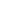Page 58 of 60 Rev. 3 June 19, 2002

### **APPENDIX A**

### **CEM INSTALLATION SPECIFICATIONS**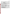| <b>AFFILIATION</b>                                                                         |                       |                                                                  |                     |                              |                 |                                 |  |
|--------------------------------------------------------------------------------------------|-----------------------|------------------------------------------------------------------|---------------------|------------------------------|-----------------|---------------------------------|--|
| Company                                                                                    |                       | Shaw E&I                                                         |                     | Contact                      |                 | Jim Dunn                        |  |
| <b>Address</b>                                                                             |                       | <b>PO Box 4699</b>                                               |                     |                              |                 |                                 |  |
|                                                                                            |                       | Highway 58, Blair Road                                           |                     |                              |                 |                                 |  |
|                                                                                            |                       | Bldg. K-1435S, Rm 1                                              |                     |                              |                 |                                 |  |
|                                                                                            |                       | Oak Ridge, TN 37831-7345                                         |                     |                              |                 |                                 |  |
| 865-241-3737<br>Phone                                                                      |                       | Fax<br>865-576-5380                                              |                     | E-mail                       | dunnje@ettp.net |                                 |  |
|                                                                                            |                       |                                                                  |                     |                              |                 |                                 |  |
| Location                                                                                   |                       | Oak Ridge, Tennessee                                             |                     |                              |                 |                                 |  |
| <b>Name of Plant</b>                                                                       |                       | East Tennessee Technology Park (formerly K-25)                   |                     |                              |                 |                                 |  |
| <b>Name of Facility</b>                                                                    |                       | Toxic Substances Control Act (TSCA) Incinerator                  |                     |                              |                 |                                 |  |
| <b>Address</b>                                                                             |                       | Same as above                                                    |                     |                              |                 |                                 |  |
| Incineration of RCRA hazardous, low level radioactive, PCB waste<br><b>Type of Process</b> |                       |                                                                  |                     |                              |                 |                                 |  |
| <b>Type of Gas Cleaning System</b>                                                         |                       |                                                                  | <b>Wet Scrubber</b> |                              |                 |                                 |  |
|                                                                                            |                       | <b>20% NaOH</b><br><b>Water Additives in Wet Scrubber System</b> |                     |                              |                 |                                 |  |
| <b>SAMPLING POINT LOCATION</b>                                                             |                       |                                                                  |                     |                              |                 |                                 |  |
|                                                                                            | <b>Vertical Stack</b> |                                                                  |                     | <b>Material</b>              |                 | <b>Fiber Reinforced Plastic</b> |  |
| Height (ft)                                                                                |                       |                                                                  | 100                 | <b>Inside Diameter (in.)</b> |                 | 53.75                           |  |
| <b>Outside Diameter (in.)</b>                                                              |                       |                                                                  | 54.5                | Wall Thickness (in.)         |                 | 0.375                           |  |
| <b>Mounting Location</b>                                                                   |                       |                                                                  | Outdoor platforms   | <b>Mounting Flanges</b>      |                 | 4" and 6" ID, 150-lb, 8 bolt    |  |
|                                                                                            |                       |                                                                  |                     |                              |                 | <b>ANSI</b> flanges             |  |
| <b>Elevation</b> (ft)<br><b>Lower Platform</b>                                             |                       |                                                                  |                     |                              |                 | 30                              |  |
| <b>Stack Diameters Downstream From Flow Disturbance</b>                                    |                       |                                                                  |                     |                              |                 | $\overline{4}$                  |  |
| <b>Stack Diameters Upstream From Flow Disturbance</b>                                      |                       |                                                                  |                     |                              |                 | 15.6                            |  |
| <b>Elevation</b> (ft)<br><b>Upper Platform</b>                                             |                       |                                                                  |                     |                              |                 | 51                              |  |
| <b>Stack Diameters Downstream From Flow Disturbance</b>                                    |                       |                                                                  |                     |                              |                 | 8                               |  |
| <b>Stack Diameters Upstream From Flow Disturbance</b>                                      |                       |                                                                  |                     | 11                           |                 |                                 |  |
| Vertical ladder; mobile crane can access platforms if needed<br><b>Accessibility</b>       |                       |                                                                  |                     |                              |                 |                                 |  |